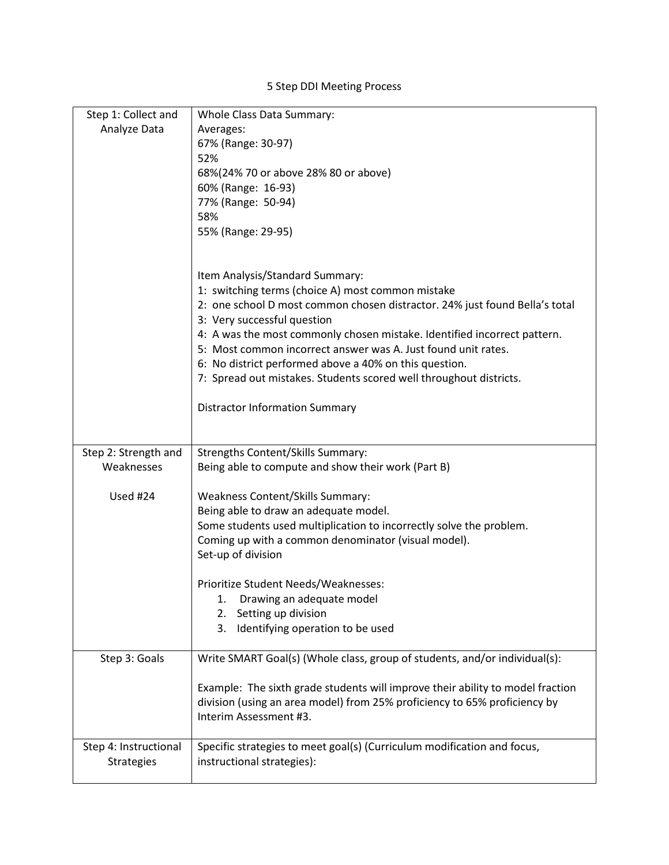5 Step DDI Meeting Process

| Step 1: Collect and                        | Whole Class Data Summary:                                                                             |
|--------------------------------------------|-------------------------------------------------------------------------------------------------------|
| Analyze Data                               | Averages:                                                                                             |
|                                            | 67% (Range: 30-97)                                                                                    |
|                                            | 52%                                                                                                   |
|                                            | 68%(24% 70 or above 28% 80 or above)                                                                  |
|                                            | 60% (Range: 16-93)                                                                                    |
|                                            | 77% (Range: 50-94)                                                                                    |
|                                            | 58%                                                                                                   |
|                                            | 55% (Range: 29-95)                                                                                    |
|                                            |                                                                                                       |
|                                            | Item Analysis/Standard Summary:                                                                       |
|                                            | 1: switching terms (choice A) most common mistake                                                     |
|                                            | 2: one school D most common chosen distractor. 24% just found Bella's total                           |
|                                            | 3: Very successful question                                                                           |
|                                            | 4: A was the most commonly chosen mistake. Identified incorrect pattern.                              |
|                                            | 5: Most common incorrect answer was A. Just found unit rates.                                         |
|                                            | 6: No district performed above a 40% on this question.                                                |
|                                            | 7: Spread out mistakes. Students scored well throughout districts.                                    |
|                                            |                                                                                                       |
|                                            | <b>Distractor Information Summary</b>                                                                 |
|                                            |                                                                                                       |
| Step 2: Strength and                       | Strengths Content/Skills Summary:                                                                     |
|                                            |                                                                                                       |
| Weaknesses                                 | Being able to compute and show their work (Part B)                                                    |
|                                            |                                                                                                       |
| Used #24                                   | Weakness Content/Skills Summary:                                                                      |
|                                            | Being able to draw an adequate model.                                                                 |
|                                            | Some students used multiplication to incorrectly solve the problem.                                   |
|                                            | Coming up with a common denominator (visual model).                                                   |
|                                            | Set-up of division                                                                                    |
|                                            |                                                                                                       |
|                                            | Prioritize Student Needs/Weaknesses:                                                                  |
|                                            | Drawing an adequate model<br>1.                                                                       |
|                                            | Setting up division<br>2.                                                                             |
|                                            | Identifying operation to be used<br>3.                                                                |
| Step 3: Goals                              | Write SMART Goal(s) (Whole class, group of students, and/or individual(s):                            |
|                                            |                                                                                                       |
|                                            | Example: The sixth grade students will improve their ability to model fraction                        |
|                                            | division (using an area model) from 25% proficiency to 65% proficiency by                             |
|                                            | Interim Assessment #3.                                                                                |
|                                            |                                                                                                       |
| Step 4: Instructional<br><b>Strategies</b> | Specific strategies to meet goal(s) (Curriculum modification and focus,<br>instructional strategies): |